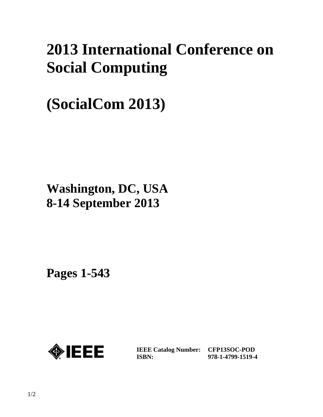# **2013 International Conference on Social Computing**

# **(SocialCom 2013)**

### **Washington, DC, USA 8-14 September 2013**

**Pages 1-543** 



**IEEE Catalog Number: CFP13SOC-POD ISBN:** 

**978-1-4799-1519-4**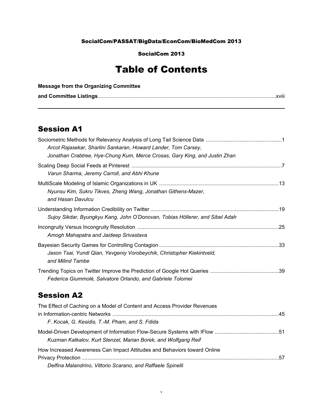#### SocialCom/PASSAT/BigData/EconCom/BioMedCom 2013

SocialCom 2013

### Table of Contents

| <b>Message from the Organizing Committee</b> |  |
|----------------------------------------------|--|
|                                              |  |

#### Session A1

| Arcot Rajasekar, Sharlini Sankaran, Howard Lander, Tom Carsey,<br>Jonathan Crabtree, Hye-Chung Kum, Merce Crosas, Gary King, and Justin Zhan |  |
|----------------------------------------------------------------------------------------------------------------------------------------------|--|
| Varun Sharma, Jeremy Carroll, and Abhi Khune                                                                                                 |  |
| Nyunsu Kim, Sukru Tikves, Zheng Wang, Jonathan Githens-Mazer,<br>and Hasan Davulcu                                                           |  |
| Sujoy Sikdar, Byungkyu Kang, John O'Donovan, Tobias Höllerer, and Sibel Adah                                                                 |  |
| Amogh Mahapatra and Jaideep Srivastava                                                                                                       |  |
| Jason Tsai, Yundi Qian, Yevgeniy Vorobeychik, Christopher Kiekintveld,<br>and Milind Tambe                                                   |  |
| Federica Giummolè, Salvatore Orlando, and Gabriele Tolomei                                                                                   |  |
| <b>Session A2</b>                                                                                                                            |  |
| The Effect of Caching on a Model of Content and Access Provider Revenues<br>F. Kocak, G. Kesidis, T.-M. Pham, and S. Fdida                   |  |
| Kuzman Katkalov, Kurt Stenzel, Marian Borek, and Wolfgang Reif                                                                               |  |
| How Increased Awareness Can Impact Attitudes and Behaviors toward Online                                                                     |  |

Privacy Protection .......................................................................................................................................57 *Delfina Malandrino, Vittorio Scarano, and Raffaele Spinelli*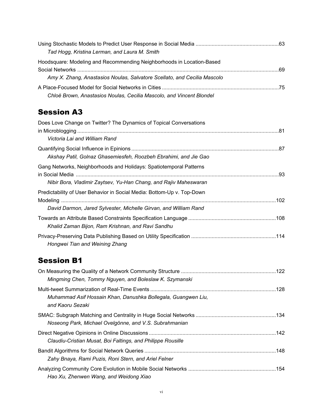| Tad Hogg, Kristina Lerman, and Laura M. Smith                            |  |
|--------------------------------------------------------------------------|--|
| Hoodsquare: Modeling and Recommending Neighborhoods in Location-Based    |  |
|                                                                          |  |
| Amy X. Zhang, Anastasios Noulas, Salvatore Scellato, and Cecilia Mascolo |  |
|                                                                          |  |
| Chloë Brown, Anastasios Noulas, Cecilia Mascolo, and Vincent Blondel     |  |

#### Session A3

| Does Love Change on Twitter? The Dynamics of Topical Conversations<br>Victoria Lai and William Rand                                        |  |
|--------------------------------------------------------------------------------------------------------------------------------------------|--|
| Akshay Patil, Golnaz Ghasemiesfeh, Roozbeh Ebrahimi, and Jie Gao                                                                           |  |
| Gang Networks, Neighborhoods and Holidays: Spatiotemporal Patterns<br>Nibir Bora, Vladimir Zaytsev, Yu-Han Chang, and Rajiv Maheswaran     |  |
| Predictability of User Behavior in Social Media: Bottom-Up v. Top-Down<br>David Darmon, Jared Sylvester, Michelle Girvan, and William Rand |  |
| Khalid Zaman Bijon, Ram Krishnan, and Ravi Sandhu                                                                                          |  |
| Hongwei Tian and Weining Zhang                                                                                                             |  |

#### Session B1

| Mingming Chen, Tommy Nguyen, and Boleslaw K. Szymanski                            |  |
|-----------------------------------------------------------------------------------|--|
| Muhammad Asif Hossain Khan, Danushka Bollegala, Guangwen Liu,<br>and Kaoru Sezaki |  |
| Noseong Park, Michael Ovelgönne, and V.S. Subrahmanian                            |  |
| Claudiu-Cristian Musat, Boi Faltings, and Philippe Rousille                       |  |
| Zahy Bnaya, Rami Puzis, Roni Stern, and Ariel Felner                              |  |
| Hao Xu, Zhenwen Wang, and Weidong Xiao                                            |  |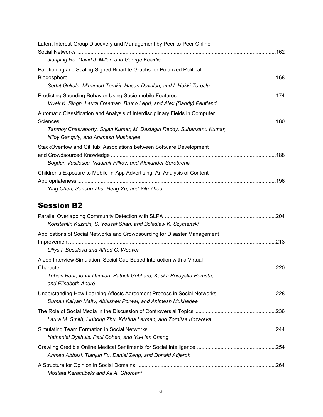| Latent Interest-Group Discovery and Management by Peer-to-Peer Online                                                              |  |
|------------------------------------------------------------------------------------------------------------------------------------|--|
| Jianping He, David J. Miller, and George Kesidis                                                                                   |  |
| Partitioning and Scaling Signed Bipartite Graphs for Polarized Political                                                           |  |
| Sedat Gokalp, M'hamed Temkit, Hasan Davulcu, and I. Hakki Toroslu                                                                  |  |
| Vivek K. Singh, Laura Freeman, Bruno Lepri, and Alex (Sandy) Pentland                                                              |  |
| Automatic Classification and Analysis of Interdisciplinary Fields in Computer                                                      |  |
| Tanmoy Chakraborty, Srijan Kumar, M. Dastagiri Reddy, Suhansanu Kumar,<br>Niloy Ganguly, and Animesh Mukherjee                     |  |
| StackOverflow and GitHub: Associations between Software Development<br>Bogdan Vasilescu, Vladimir Filkov, and Alexander Serebrenik |  |
| Children's Exposure to Mobile In-App Advertising: An Analysis of Content<br>Ying Chen, Sencun Zhu, Heng Xu, and Yilu Zhou          |  |

#### Session B2

| Konstantin Kuzmin, S. Yousaf Shah, and Boleslaw K. Szymanski                              |      |
|-------------------------------------------------------------------------------------------|------|
| Applications of Social Networks and Crowdsourcing for Disaster Management                 | 213  |
| Liliya I. Besaleva and Alfred C. Weaver                                                   |      |
| A Job Interview Simulation: Social Cue-Based Interaction with a Virtual                   |      |
| Tobias Baur, Ionut Damian, Patrick Gebhard, Kaska Porayska-Pomsta,<br>and Elisabeth André |      |
| Suman Kalyan Maity, Abhishek Porwal, and Animesh Mukherjee                                |      |
| Laura M. Smith, Linhong Zhu, Kristina Lerman, and Zornitsa Kozareva                       |      |
| Nathaniel Dykhuis, Paul Cohen, and Yu-Han Chang                                           |      |
| Ahmed Abbasi, Tianjun Fu, Daniel Zeng, and Donald Adjeroh                                 |      |
| Mostafa Karamibekr and Ali A. Ghorbani                                                    | .264 |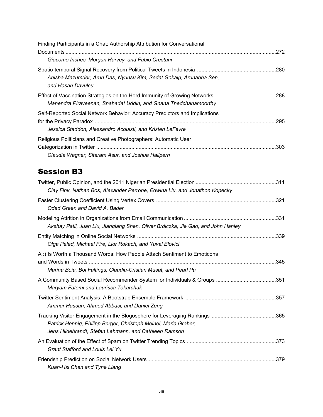| Finding Participants in a Chat: Authorship Attribution for Conversational                                                                 |      |
|-------------------------------------------------------------------------------------------------------------------------------------------|------|
| Giacomo Inches, Morgan Harvey, and Fabio Crestani                                                                                         |      |
| Anisha Mazumder, Arun Das, Nyunsu Kim, Sedat Gokalp, Arunabha Sen,<br>and Hasan Davulcu                                                   |      |
| Mahendra Piraveenan, Shahadat Uddin, and Gnana Thedchanamoorthy                                                                           |      |
| Self-Reported Social Network Behavior: Accuracy Predictors and Implications<br>Jessica Staddon, Alessandro Acquisti, and Kristen LeFevre  | .295 |
| Religious Politicians and Creative Photographers: Automatic User<br>Claudia Wagner, Sitaram Asur, and Joshua Hailpern                     |      |
| <b>Session B3</b>                                                                                                                         |      |
| Clay Fink, Nathan Bos, Alexander Perrone, Edwina Liu, and Jonathon Kopecky                                                                |      |
| Oded Green and David A. Bader                                                                                                             |      |
| Akshay Patil, Juan Liu, Jianqiang Shen, Oliver Brdiczka, Jie Gao, and John Hanley                                                         |      |
| Olga Peled, Michael Fire, Lior Rokach, and Yuval Elovici                                                                                  |      |
| A: Is Worth a Thousand Words: How People Attach Sentiment to Emoticons<br>Marina Boia, Boi Faltings, Claudiu-Cristian Musat, and Pearl Pu |      |
| A Community Based Social Recommender System for Individuals & Groups 351<br>Maryam Fatemi and Laurissa Tokarchuk                          |      |
| Ammar Hassan, Ahmed Abbasi, and Daniel Zeng                                                                                               |      |
| Patrick Hennig, Philipp Berger, Christoph Meinel, Maria Graber,                                                                           |      |

| Jens Hildebrandt, Stefan Lehmann, and Cathleen Ramson |  |
|-------------------------------------------------------|--|
|                                                       |  |
| <b>Grant Stafford and Louis Lei Yu</b>                |  |
|                                                       |  |
| Kuan-Hsi Chen and Tyne Liang                          |  |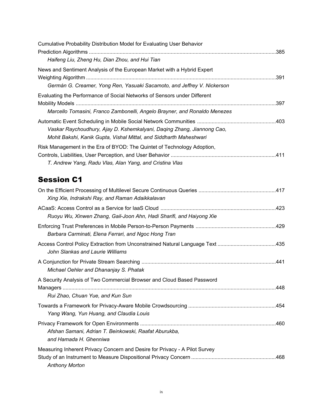| Cumulative Probability Distribution Model for Evaluating User Behavior                                                                       |      |
|----------------------------------------------------------------------------------------------------------------------------------------------|------|
| Haifeng Liu, Zheng Hu, Dian Zhou, and Hui Tian                                                                                               |      |
| News and Sentiment Analysis of the European Market with a Hybrid Expert                                                                      |      |
| Germán G. Creamer, Yong Ren, Yasuaki Sacamoto, and Jeffrey V. Nickerson                                                                      |      |
| Evaluating the Performance of Social Networks of Sensors under Different                                                                     | .397 |
| Marcello Tomasini, Franco Zambonelli, Angelo Brayner, and Ronaldo Menezes                                                                    |      |
| Vaskar Raychoudhury, Ajay D. Kshemkalyani, Daqing Zhang, Jiannong Cao,<br>Mohit Bakshi, Kanik Gupta, Vishal Mittal, and Siddharth Maheshwari |      |
| Risk Management in the Era of BYOD: The Quintet of Technology Adoption,<br>T. Andrew Yang, Radu Vlas, Alan Yang, and Cristina Vlas           |      |

#### Session C1

| Xing Xie, Indrakshi Ray, and Raman Adaikkalavan                                                            |  |
|------------------------------------------------------------------------------------------------------------|--|
| Ruoyu Wu, Xinwen Zhang, Gail-Joon Ahn, Hadi Sharifi, and Haiyong Xie                                       |  |
| Barbara Carminati, Elena Ferrari, and Ngoc Hong Tran                                                       |  |
| John Slankas and Laurie Williams                                                                           |  |
| Michael Oehler and Dhananjay S. Phatak                                                                     |  |
| A Security Analysis of Two Commercial Browser and Cloud Based Password<br>Rui Zhao, Chuan Yue, and Kun Sun |  |
| Yang Wang, Yun Huang, and Claudia Louis                                                                    |  |
| Afshan Samani, Adrian T. Beinkowski, Raafat Aburukba,<br>and Hamada H. Ghenniwa                            |  |
| Measuring Inherent Privacy Concern and Desire for Privacy - A Pilot Survey<br><b>Anthony Morton</b>        |  |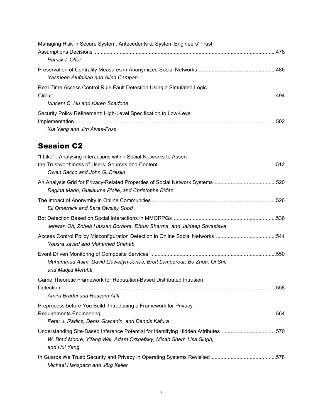| Managing Risk in Secure System: Antecedents to System Engineers' Trust |  |
|------------------------------------------------------------------------|--|
|                                                                        |  |
| Patrick I. Offor                                                       |  |
|                                                                        |  |
| Yasmeen Alufaisan and Alina Campan                                     |  |
| Real-Time Access Control Rule Fault Detection Using a Simulated Logic  |  |
|                                                                        |  |
| Vincent C. Hu and Karen Scarfone                                       |  |
| Security Policy Refinement: High-Level Specification to Low-Level      |  |
|                                                                        |  |
| Xia Yang and Jim Alves-Foss                                            |  |

#### Session C2

| "I Like" - Analysing Interactions within Social Networks to Assert                 |      |
|------------------------------------------------------------------------------------|------|
|                                                                                    |      |
| Owen Sacco and John G. Breslin                                                     |      |
|                                                                                    |      |
| Regina Marin, Guillaume Piolle, and Christophe Bidan                               |      |
|                                                                                    |      |
| Eli Omernick and Sara Owsley Sood                                                  |      |
|                                                                                    |      |
| Jehwan Oh, Zoheb Hassan Borbora, Dhruv Sharma, and Jaideep Srivastava              |      |
| Access Control Policy Misconfiguration Detection in Online Social Networks 544     |      |
| Yousra Javed and Mohamed Shehab                                                    |      |
|                                                                                    |      |
| Muhammad Asim, David Llewellyn-Jones, Brett Lempereur, Bo Zhou, Qi Shi,            |      |
| and Madjid Merabti                                                                 |      |
| Game Theoretic Framework for Reputation-Based Distributed Intrusion                |      |
|                                                                                    |      |
| Amira Bradai and Hossam Afifi                                                      |      |
| Preprocess before You Build: Introducing a Framework for Privacy                   |      |
|                                                                                    | .564 |
| Peter J. Radics, Denis Gracanin, and Dennis Kafura                                 |      |
| Understanding Site-Based Inference Potential for Identifying Hidden Attributes 570 |      |
| W. Brad Moore, Yifang Wei, Adam Orshefsky, Micah Sherr, Lisa Singh,                |      |
| and Hui Yang                                                                       |      |
|                                                                                    |      |
| Michael Hanspach and Jörg Keller                                                   |      |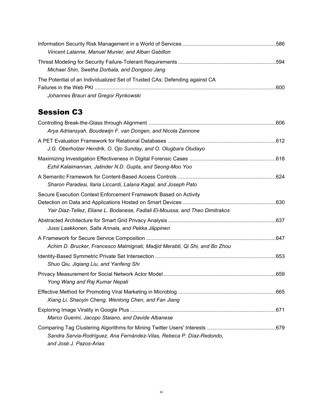| Vincent Lalanne, Manuel Munier, and Alban Gabillon                                                                 |  |
|--------------------------------------------------------------------------------------------------------------------|--|
| Michael Shin, Swetha Dorbala, and Dongsoo Jang                                                                     |  |
| The Potential of an Individualized Set of Trusted CAs: Defending against CA<br>Johannes Braun and Gregor Rynkowski |  |

#### Session C3

| Arya Adriansyah, Boudewijn F. van Dongen, and Nicola Zannone                                                                                     |  |
|--------------------------------------------------------------------------------------------------------------------------------------------------|--|
| J.G. Oberholzer Hendrik, O. Ojo Sunday, and O. Olugbara Oludayo                                                                                  |  |
| Ezhil Kalaimannan, Jatinder N.D. Gupta, and Seong-Moo Yoo                                                                                        |  |
| Sharon Paradesi, Ilaria Liccardi, Lalana Kagal, and Joseph Pato                                                                                  |  |
| Secure Execution Context Enforcement Framework Based on Activity<br>Yair Diaz-Tellez, Eliane L. Bodanese, Fadiali El-Moussa, and Theo Dimitrakos |  |
| Jussi Laakkonen, Salla Annala, and Pekka Jäppinen                                                                                                |  |
| Achim D. Brucker, Francesco Malmignati, Madjid Merabti, Qi Shi, and Bo Zhou                                                                      |  |
| Shuo Qiu, Jiqiang Liu, and Yanfeng Shi                                                                                                           |  |
| Yong Wang and Raj Kumar Nepali                                                                                                                   |  |
| Xiang Li, Shaoyin Cheng, Wenlong Chen, and Fan Jiang                                                                                             |  |
| Marco Guerini, Jacopo Staiano, and Davide Albanese                                                                                               |  |
| Sandra Servia-Rodríguez, Ana Fernández-Vilas, Rebeca P. Díaz-Redondo,<br>and José J. Pazos-Arias                                                 |  |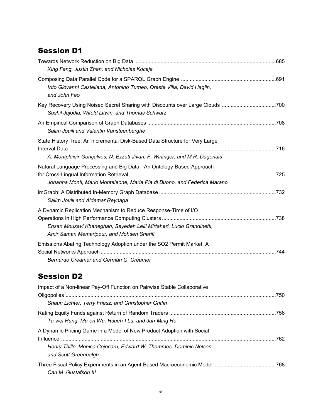#### Session D1

| Xing Fang, Justin Zhan, and Nicholas Koceja                                                                                                                                         |  |
|-------------------------------------------------------------------------------------------------------------------------------------------------------------------------------------|--|
| Vito Giovanni Castellana, Antonino Tumeo, Oreste Villa, David Haglin,<br>and John Feo                                                                                               |  |
| Key Recovery Using Noised Secret Sharing with Discounts over Large Clouds 700<br>Sushil Jajodia, Witold Litwin, and Thomas Schwarz                                                  |  |
| Salim Jouili and Valentin Vansteenberghe                                                                                                                                            |  |
| State History Tree: An Incremental Disk-Based Data Structure for Very Large<br>A. Montplaisir-Gonçalves, N. Ezzati-Jivan, F. Wininger, and M.R. Dagenais                            |  |
| Natural Language Processing and Big Data - An Ontology-Based Approach<br>Johanna Monti, Mario Monteleone, Maria Pia di Buono, and Federica Marano                                   |  |
| Salim Jouili and Aldemar Reynaga                                                                                                                                                    |  |
| A Dynamic Replication Mechanism to Reduce Response-Time of I/O<br>Ehsan Mousavi Khaneghah, Seyedeh Leili Mirtaheri, Lucio Grandinetti,<br>Amir Saman Memaripour, and Mohsen Sharifi |  |
| Emissions Abating Technology Adoption under the SO2 Permit Market: A<br>Bernardo Creamer and Germán G. Creamer                                                                      |  |

#### Session D2

| Impact of a Non-linear Pay-Off Function on Pairwise Stable Collaborative                  |     |
|-------------------------------------------------------------------------------------------|-----|
| Shaun Lichter, Terry Friesz, and Christopher Griffin                                      |     |
| Ta-wei Hung, Mu-en Wu, Hsueh-I Lu, and Jan-Ming Ho                                        |     |
| A Dynamic Pricing Game in a Model of New Product Adoption with Social                     | 762 |
| Henry Thille, Monica Cojocaru, Edward W. Thommes, Dominic Nelson,<br>and Scott Greenhalgh |     |
| Carl M. Gustafson III                                                                     |     |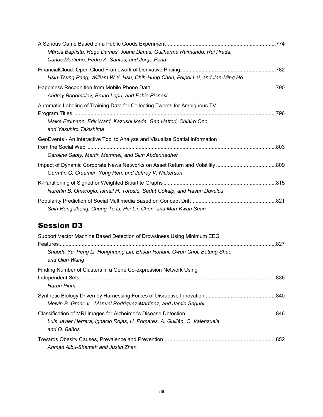| Márcia Baptista, Hugo Damas, Joana Dimas, Guilherme Raimundo, Rui Prada,                     |  |
|----------------------------------------------------------------------------------------------|--|
| Carlos Martinho, Pedro A. Santos, and Jorge Peña                                             |  |
|                                                                                              |  |
| Hsin-Tsung Peng, William W.Y. Hsu, Chih-Hung Chen, Feipei Lai, and Jan-Ming Ho               |  |
|                                                                                              |  |
| Andrey Bogomolov, Bruno Lepri, and Fabio Pianesi                                             |  |
| Automatic Labeling of Training Data for Collecting Tweets for Ambiguous TV                   |  |
|                                                                                              |  |
| Maike Erdmann, Erik Ward, Kazushi Ikeda, Gen Hattori, Chihiro Ono,<br>and Yasuhiro Takishima |  |
| GeoEvents - An Interactive Tool to Analyze and Visualize Spatial Information                 |  |
|                                                                                              |  |
| Caroline Sabty, Martin Memmel, and Slim Abdennadher                                          |  |
|                                                                                              |  |
| Germán G. Creamer, Yong Ren, and Jeffrey V. Nickerson                                        |  |
|                                                                                              |  |
| Nurettin B. Omeroglu, Ismail H. Toroslu, Sedat Gokalp, and Hasan Davulcu                     |  |
|                                                                                              |  |
| Shih-Hong Jheng, Cheng-Te Li, Hsi-Lin Chen, and Man-Kwan Shan                                |  |
|                                                                                              |  |
| <b>Session D3</b>                                                                            |  |

| Support Vector Machine Based Detection of Drowsiness Using Minimum EEG                     |  |
|--------------------------------------------------------------------------------------------|--|
| Shaoda Yu, Peng Li, Honghuang Lin, Ehsan Rohani, Gwan Choi, Botang Shao,<br>and Qian Wang  |  |
| Finding Number of Clusters in a Gene Co-expression Network Using<br>Harun Pirim            |  |
| Melvin B. Greer Jr., Manuel Rodriguez-Martinez, and Jamie Seguel                           |  |
| Luis Javier Herrera, Ignacio Rojas, H. Pomares, A. Guillén, O. Valenzuela,<br>and O. Baños |  |
| Ahmad Albu-Shamah and Justin Zhan                                                          |  |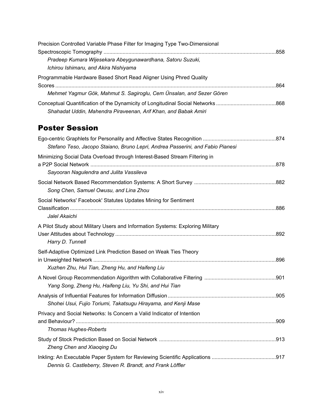| Precision Controlled Variable Phase Filter for Imaging Type Two-Dimensional |     |
|-----------------------------------------------------------------------------|-----|
|                                                                             |     |
| Pradeep Kumara Wijesekara Abeygunawardhana, Satoru Suzuki,                  |     |
| Ichirou Ishimaru, and Akira Nishiyama                                       |     |
| Programmable Hardware Based Short Read Aligner Using Phred Quality          |     |
|                                                                             | 864 |
| Mehmet Yagmur Gök, Mahmut S. Sagiroglu, Cem Ünsalan, and Sezer Gören        |     |
|                                                                             |     |
| Shahadat Uddin, Mahendra Piraveenan, Arif Khan, and Babak Amiri             |     |

#### Poster Session

| Stefano Teso, Jacopo Staiano, Bruno Lepri, Andrea Passerini, and Fabio Pianesi |  |
|--------------------------------------------------------------------------------|--|
|                                                                                |  |
| Minimizing Social Data Overload through Interest-Based Stream Filtering in     |  |
|                                                                                |  |
| Sayooran Nagulendra and Julita Vassileva                                       |  |
| Song Chen, Samuel Owusu, and Lina Zhou                                         |  |
| Social Networks' Facebook' Statutes Updates Mining for Sentiment               |  |
|                                                                                |  |
| Jalel Akaichi                                                                  |  |
| A Pilot Study about Military Users and Information Systems: Exploring Military |  |
|                                                                                |  |
| Harry D. Tunnell                                                               |  |
| Self-Adaptive Optimized Link Prediction Based on Weak Ties Theory              |  |
|                                                                                |  |
| Xuzhen Zhu, Hui Tian, Zheng Hu, and Haifeng Liu                                |  |
|                                                                                |  |
| Yang Song, Zheng Hu, Haifeng Liu, Yu Shi, and Hui Tian                         |  |
|                                                                                |  |
| Shohei Usui, Fujio Toriumi, Takatsugu Hirayama, and Kenji Mase                 |  |
|                                                                                |  |
| Privacy and Social Networks: Is Concern a Valid Indicator of Intention         |  |
| Thomas Hughes-Roberts                                                          |  |
|                                                                                |  |
|                                                                                |  |
| Zheng Chen and Xiaoqing Du                                                     |  |
|                                                                                |  |
| Dennis G. Castleberry, Steven R. Brandt, and Frank Löffler                     |  |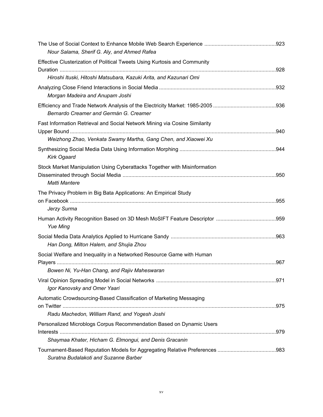| Nour Salama, Sherif G. Aly, and Ahmed Rafea                                                       |  |
|---------------------------------------------------------------------------------------------------|--|
| Effective Clusterization of Political Tweets Using Kurtosis and Community                         |  |
| Hiroshi Ituski, Hitoshi Matsubara, Kazuki Arita, and Kazunari Omi                                 |  |
|                                                                                                   |  |
| Morgan Madeira and Anupam Joshi                                                                   |  |
| Bernardo Creamer and Germán G. Creamer                                                            |  |
| Fast Information Retrieval and Social Network Mining via Cosine Similarity                        |  |
| Weizhong Zhao, Venkata Swamy Martha, Gang Chen, and Xiaowei Xu                                    |  |
| Kirk Ogaard                                                                                       |  |
| Stock Market Manipulation Using Cyberattacks Together with Misinformation<br><b>Matti Mantere</b> |  |
| The Privacy Problem in Big Bata Applications: An Empirical Study                                  |  |
| Jerzy Surma                                                                                       |  |
| <b>Yue Ming</b>                                                                                   |  |
| Han Dong, Milton Halem, and Shujia Zhou                                                           |  |
| Social Welfare and Inequality in a Networked Resource Game with Human                             |  |
| Bowen Ni, Yu-Han Chang, and Rajiv Maheswaran                                                      |  |
| Igor Kanovsky and Omer Yaari                                                                      |  |
| Automatic Crowdsourcing-Based Classification of Marketing Messaging                               |  |
| Radu Machedon, William Rand, and Yogesh Joshi                                                     |  |
| Personalized Microblogs Corpus Recommendation Based on Dynamic Users                              |  |
| Shaymaa Khater, Hicham G. Elmongui, and Denis Gracanin                                            |  |
|                                                                                                   |  |
| Suratna Budalakoti and Suzanne Barber                                                             |  |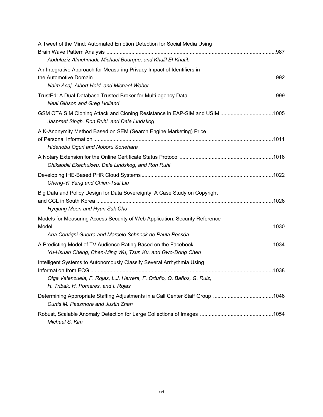| A Tweet of the Mind: Automated Emotion Detection for Social Media Using                                                                                     |  |
|-------------------------------------------------------------------------------------------------------------------------------------------------------------|--|
| Abdulaziz Almehmadi, Michael Bourque, and Khalil El-Khatib                                                                                                  |  |
| An Integrative Approach for Measuring Privacy Impact of Identifiers in<br>Naim Asaj, Albert Held, and Michael Weber                                         |  |
| <b>Neal Gibson and Greg Holland</b>                                                                                                                         |  |
| GSM OTA SIM Cloning Attack and Cloning Resistance in EAP-SIM and USIM 1005<br>Jaspreet Singh, Ron Ruhl, and Dale Lindskog                                   |  |
| A K-Anonymity Method Based on SEM (Search Engine Marketing) Price<br>Hidenobu Oguri and Noboru Sonehara                                                     |  |
| Chikaodili Ekechukwu, Dale Lindskog, and Ron Ruhl                                                                                                           |  |
| Cheng-Yi Yang and Chien-Tsai Liu                                                                                                                            |  |
| Big Data and Policy Design for Data Sovereignty: A Case Study on Copyright<br>Hyejung Moon and Hyun Suk Cho                                                 |  |
| Models for Measuring Access Security of Web Application: Security Reference                                                                                 |  |
| Ana Cervigni Guerra and Marcelo Schneck de Paula Pessôa                                                                                                     |  |
| Yu-Hsuan Cheng, Chen-Ming Wu, Tsun Ku, and Gwo-Dong Chen                                                                                                    |  |
| Intelligent Systems to Autonomously Classify Several Arrhythmia Using<br>Olga Valenzuela, F. Rojas, L.J. Herrera, F. Ortuño, O. Baños, G. Ruiz,             |  |
| H. Tribak, H. Pomares, and I. Rojas<br>Determining Appropriate Staffing Adjustments in a Call Center Staff Group 1046<br>Curtis M. Passmore and Justin Zhan |  |
| Michael S. Kim                                                                                                                                              |  |